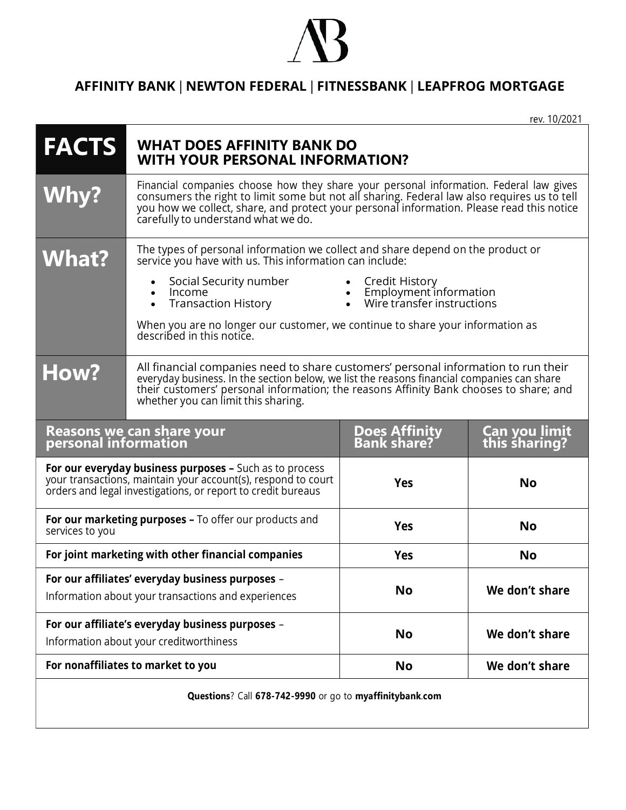## **S**

## **AFFINITY BANK** | **NEWTON FEDERAL** | **FITNESSBANK** | **LEAPFROG MORTGAGE**

rev. 10/2021

| <b>FACTS</b>                                             | <b>WHAT DOES AFFINITY BANK DO</b><br><b>WITH YOUR PERSONAL INFORMATION?</b>                                                                                                                                                                                                                                            |                                                                              |                                        |
|----------------------------------------------------------|------------------------------------------------------------------------------------------------------------------------------------------------------------------------------------------------------------------------------------------------------------------------------------------------------------------------|------------------------------------------------------------------------------|----------------------------------------|
| <b>Why?</b>                                              | Financial companies choose how they share your personal information. Federal law gives consumers the right to limit some but not all sharing. Federal law also requires us to tell<br>you how we collect, share, and protect your personal information. Please read this notice<br>carefully to understand what we do. |                                                                              |                                        |
| <b>What?</b>                                             | The types of personal information we collect and share depend on the product or<br>service you have with us. This information can include:                                                                                                                                                                             |                                                                              |                                        |
|                                                          | Social Security number<br>Income<br>Transaction History<br>When you are no longer our customer, we continue to share your information as<br>described in this notice.                                                                                                                                                  | • Credit History<br>• Employment information<br>• Wire transfer instructions |                                        |
| How?                                                     | All financial companies need to share customers' personal information to run their<br>everyday business. In the section below, we list the reasons financial companies can share<br>their customers' personal information; the reasons Affinity Bank chooses to share; and<br>whether you can limit this sharing.      |                                                                              |                                        |
| <b>Reasons we can share your</b><br>personal information |                                                                                                                                                                                                                                                                                                                        |                                                                              |                                        |
|                                                          |                                                                                                                                                                                                                                                                                                                        | <b>Does Affinity<br/>Bank share?</b>                                         | <b>Can you limit<br/>this sharing?</b> |
|                                                          | For our everyday business purposes - Such as to process<br>your transactions, maintain your account(s), respond to court<br>orders and legal investigations, or report to credit bureaus                                                                                                                               | <b>Yes</b>                                                                   | <b>No</b>                              |
| services to you                                          | For our marketing purposes - To offer our products and                                                                                                                                                                                                                                                                 | <b>Yes</b>                                                                   | <b>No</b>                              |
|                                                          | For joint marketing with other financial companies                                                                                                                                                                                                                                                                     | <b>Yes</b>                                                                   | <b>No</b>                              |
|                                                          | For our affiliates' everyday business purposes -<br>Information about your transactions and experiences                                                                                                                                                                                                                | <b>No</b>                                                                    | We don't share                         |
|                                                          | For our affiliate's everyday business purposes -<br>Information about your creditworthiness                                                                                                                                                                                                                            | <b>No</b>                                                                    | We don't share                         |
|                                                          | For nonaffiliates to market to you                                                                                                                                                                                                                                                                                     | <b>No</b>                                                                    | We don't share                         |